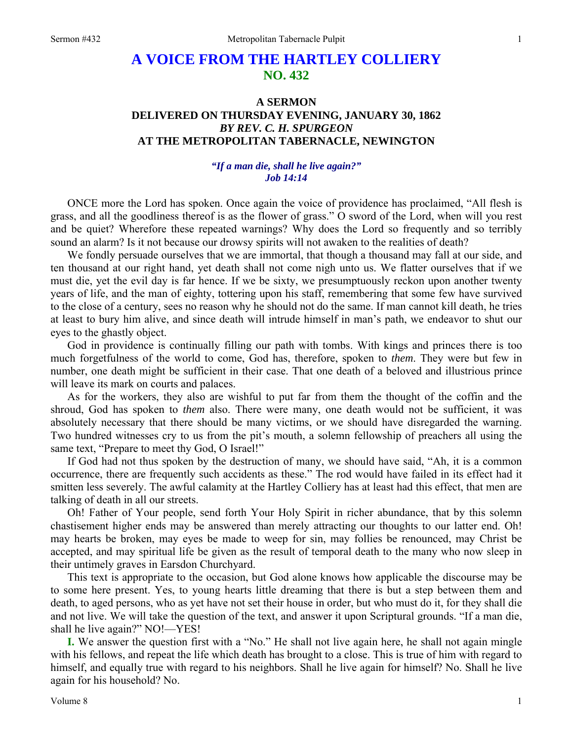# **A VOICE FROM THE HARTLEY COLLIERY NO. 432**

## **A SERMON DELIVERED ON THURSDAY EVENING, JANUARY 30, 1862**  *BY REV. C. H. SPURGEON*  **AT THE METROPOLITAN TABERNACLE, NEWINGTON**

### *"If a man die, shall he live again?" Job 14:14*

ONCE more the Lord has spoken. Once again the voice of providence has proclaimed, "All flesh is grass, and all the goodliness thereof is as the flower of grass." O sword of the Lord, when will you rest and be quiet? Wherefore these repeated warnings? Why does the Lord so frequently and so terribly sound an alarm? Is it not because our drowsy spirits will not awaken to the realities of death?

We fondly persuade ourselves that we are immortal, that though a thousand may fall at our side, and ten thousand at our right hand, yet death shall not come nigh unto us. We flatter ourselves that if we must die, yet the evil day is far hence. If we be sixty, we presumptuously reckon upon another twenty years of life, and the man of eighty, tottering upon his staff, remembering that some few have survived to the close of a century, sees no reason why he should not do the same. If man cannot kill death, he tries at least to bury him alive, and since death will intrude himself in man's path, we endeavor to shut our eyes to the ghastly object.

God in providence is continually filling our path with tombs. With kings and princes there is too much forgetfulness of the world to come, God has, therefore, spoken to *them*. They were but few in number, one death might be sufficient in their case. That one death of a beloved and illustrious prince will leave its mark on courts and palaces.

As for the workers, they also are wishful to put far from them the thought of the coffin and the shroud, God has spoken to *them* also. There were many, one death would not be sufficient, it was absolutely necessary that there should be many victims, or we should have disregarded the warning. Two hundred witnesses cry to us from the pit's mouth, a solemn fellowship of preachers all using the same text, "Prepare to meet thy God, O Israel!"

If God had not thus spoken by the destruction of many, we should have said, "Ah, it is a common occurrence, there are frequently such accidents as these." The rod would have failed in its effect had it smitten less severely. The awful calamity at the Hartley Colliery has at least had this effect, that men are talking of death in all our streets.

Oh! Father of Your people, send forth Your Holy Spirit in richer abundance, that by this solemn chastisement higher ends may be answered than merely attracting our thoughts to our latter end. Oh! may hearts be broken, may eyes be made to weep for sin, may follies be renounced, may Christ be accepted, and may spiritual life be given as the result of temporal death to the many who now sleep in their untimely graves in Earsdon Churchyard.

This text is appropriate to the occasion, but God alone knows how applicable the discourse may be to some here present. Yes, to young hearts little dreaming that there is but a step between them and death, to aged persons, who as yet have not set their house in order, but who must do it, for they shall die and not live. We will take the question of the text, and answer it upon Scriptural grounds. "If a man die, shall he live again?" NO!—YES!

**I.** We answer the question first with a "No." He shall not live again here, he shall not again mingle with his fellows, and repeat the life which death has brought to a close. This is true of him with regard to himself, and equally true with regard to his neighbors. Shall he live again for himself? No. Shall he live again for his household? No.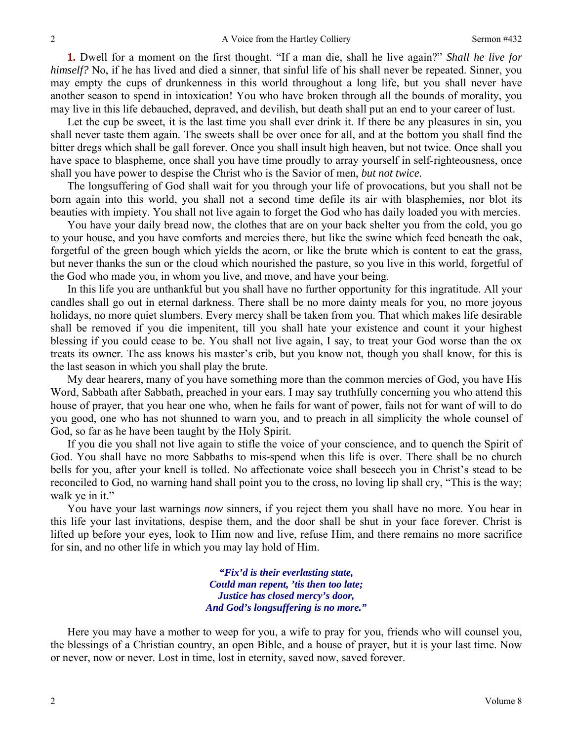**1.** Dwell for a moment on the first thought. "If a man die, shall he live again?" *Shall he live for himself?* No, if he has lived and died a sinner, that sinful life of his shall never be repeated. Sinner, you may empty the cups of drunkenness in this world throughout a long life, but you shall never have another season to spend in intoxication! You who have broken through all the bounds of morality, you may live in this life debauched, depraved, and devilish, but death shall put an end to your career of lust.

Let the cup be sweet, it is the last time you shall ever drink it. If there be any pleasures in sin, you shall never taste them again. The sweets shall be over once for all, and at the bottom you shall find the bitter dregs which shall be gall forever. Once you shall insult high heaven, but not twice. Once shall you have space to blaspheme, once shall you have time proudly to array yourself in self-righteousness, once shall you have power to despise the Christ who is the Savior of men, *but not twice.* 

The longsuffering of God shall wait for you through your life of provocations, but you shall not be born again into this world, you shall not a second time defile its air with blasphemies, nor blot its beauties with impiety. You shall not live again to forget the God who has daily loaded you with mercies.

You have your daily bread now, the clothes that are on your back shelter you from the cold, you go to your house, and you have comforts and mercies there, but like the swine which feed beneath the oak, forgetful of the green bough which yields the acorn, or like the brute which is content to eat the grass, but never thanks the sun or the cloud which nourished the pasture, so you live in this world, forgetful of the God who made you, in whom you live, and move, and have your being.

In this life you are unthankful but you shall have no further opportunity for this ingratitude. All your candles shall go out in eternal darkness. There shall be no more dainty meals for you, no more joyous holidays, no more quiet slumbers. Every mercy shall be taken from you. That which makes life desirable shall be removed if you die impenitent, till you shall hate your existence and count it your highest blessing if you could cease to be. You shall not live again, I say, to treat your God worse than the ox treats its owner. The ass knows his master's crib, but you know not, though you shall know, for this is the last season in which you shall play the brute.

My dear hearers, many of you have something more than the common mercies of God, you have His Word, Sabbath after Sabbath, preached in your ears. I may say truthfully concerning you who attend this house of prayer, that you hear one who, when he fails for want of power, fails not for want of will to do you good, one who has not shunned to warn you, and to preach in all simplicity the whole counsel of God, so far as he have been taught by the Holy Spirit.

If you die you shall not live again to stifle the voice of your conscience, and to quench the Spirit of God. You shall have no more Sabbaths to mis-spend when this life is over. There shall be no church bells for you, after your knell is tolled. No affectionate voice shall beseech you in Christ's stead to be reconciled to God, no warning hand shall point you to the cross, no loving lip shall cry, "This is the way; walk ye in it."

You have your last warnings *now* sinners, if you reject them you shall have no more. You hear in this life your last invitations, despise them, and the door shall be shut in your face forever. Christ is lifted up before your eyes, look to Him now and live, refuse Him, and there remains no more sacrifice for sin, and no other life in which you may lay hold of Him.

> *"Fix'd is their everlasting state, Could man repent, 'tis then too late; Justice has closed mercy's door, And God's longsuffering is no more."*

Here you may have a mother to weep for you, a wife to pray for you, friends who will counsel you, the blessings of a Christian country, an open Bible, and a house of prayer, but it is your last time. Now or never, now or never. Lost in time, lost in eternity, saved now, saved forever.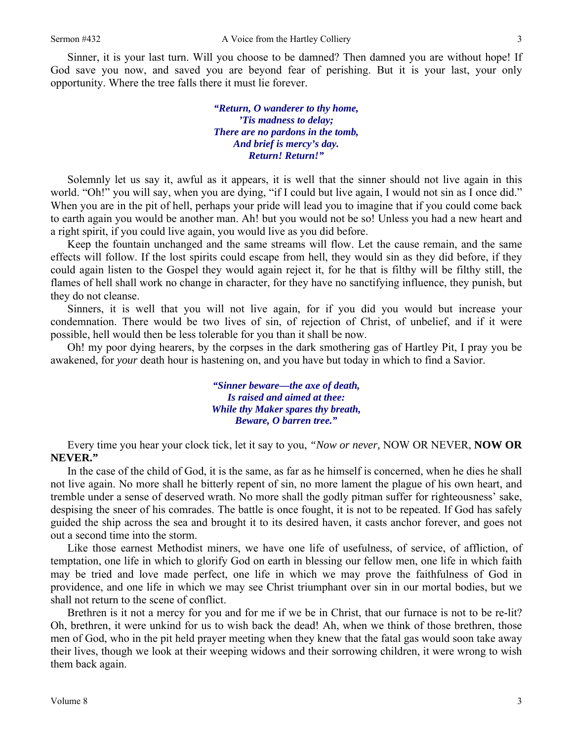Sinner, it is your last turn. Will you choose to be damned? Then damned you are without hope! If God save you now, and saved you are beyond fear of perishing. But it is your last, your only opportunity. Where the tree falls there it must lie forever.

> *"Return, O wanderer to thy home, 'Tis madness to delay; There are no pardons in the tomb, And brief is mercy's day. Return! Return!"*

Solemnly let us say it, awful as it appears, it is well that the sinner should not live again in this world. "Oh!" you will say, when you are dying, "if I could but live again, I would not sin as I once did." When you are in the pit of hell, perhaps your pride will lead you to imagine that if you could come back to earth again you would be another man. Ah! but you would not be so! Unless you had a new heart and a right spirit, if you could live again, you would live as you did before.

Keep the fountain unchanged and the same streams will flow. Let the cause remain, and the same effects will follow. If the lost spirits could escape from hell, they would sin as they did before, if they could again listen to the Gospel they would again reject it, for he that is filthy will be filthy still, the flames of hell shall work no change in character, for they have no sanctifying influence, they punish, but they do not cleanse.

Sinners, it is well that you will not live again, for if you did you would but increase your condemnation. There would be two lives of sin, of rejection of Christ, of unbelief, and if it were possible, hell would then be less tolerable for you than it shall be now.

Oh! my poor dying hearers, by the corpses in the dark smothering gas of Hartley Pit, I pray you be awakened, for *your* death hour is hastening on, and you have but today in which to find a Savior.

> *"Sinner beware—the axe of death, Is raised and aimed at thee: While thy Maker spares thy breath, Beware, O barren tree."*

Every time you hear your clock tick, let it say to you, *"Now or never,* NOW OR NEVER, **NOW OR NEVER."**

In the case of the child of God, it is the same, as far as he himself is concerned, when he dies he shall not live again. No more shall he bitterly repent of sin, no more lament the plague of his own heart, and tremble under a sense of deserved wrath. No more shall the godly pitman suffer for righteousness' sake, despising the sneer of his comrades. The battle is once fought, it is not to be repeated. If God has safely guided the ship across the sea and brought it to its desired haven, it casts anchor forever, and goes not out a second time into the storm.

Like those earnest Methodist miners, we have one life of usefulness, of service, of affliction, of temptation, one life in which to glorify God on earth in blessing our fellow men, one life in which faith may be tried and love made perfect, one life in which we may prove the faithfulness of God in providence, and one life in which we may see Christ triumphant over sin in our mortal bodies, but we shall not return to the scene of conflict.

Brethren is it not a mercy for you and for me if we be in Christ, that our furnace is not to be re-lit? Oh, brethren, it were unkind for us to wish back the dead! Ah, when we think of those brethren, those men of God, who in the pit held prayer meeting when they knew that the fatal gas would soon take away their lives, though we look at their weeping widows and their sorrowing children, it were wrong to wish them back again.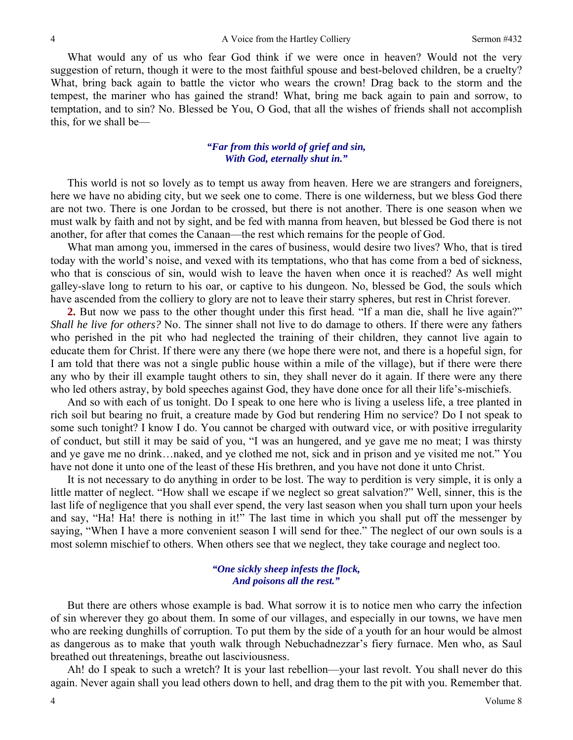What would any of us who fear God think if we were once in heaven? Would not the very suggestion of return, though it were to the most faithful spouse and best-beloved children, be a cruelty? What, bring back again to battle the victor who wears the crown! Drag back to the storm and the tempest, the mariner who has gained the strand! What, bring me back again to pain and sorrow, to temptation, and to sin? No. Blessed be You, O God, that all the wishes of friends shall not accomplish this, for we shall be—

### *"Far from this world of grief and sin, With God, eternally shut in."*

This world is not so lovely as to tempt us away from heaven. Here we are strangers and foreigners, here we have no abiding city, but we seek one to come. There is one wilderness, but we bless God there are not two. There is one Jordan to be crossed, but there is not another. There is one season when we must walk by faith and not by sight, and be fed with manna from heaven, but blessed be God there is not another, for after that comes the Canaan—the rest which remains for the people of God.

What man among you, immersed in the cares of business, would desire two lives? Who, that is tired today with the world's noise, and vexed with its temptations, who that has come from a bed of sickness, who that is conscious of sin, would wish to leave the haven when once it is reached? As well might galley-slave long to return to his oar, or captive to his dungeon. No, blessed be God, the souls which have ascended from the colliery to glory are not to leave their starry spheres, but rest in Christ forever.

**2.** But now we pass to the other thought under this first head. "If a man die, shall he live again?" *Shall he live for others?* No. The sinner shall not live to do damage to others. If there were any fathers who perished in the pit who had neglected the training of their children, they cannot live again to educate them for Christ. If there were any there (we hope there were not, and there is a hopeful sign, for I am told that there was not a single public house within a mile of the village), but if there were there any who by their ill example taught others to sin, they shall never do it again. If there were any there who led others astray, by bold speeches against God, they have done once for all their life's-mischiefs.

And so with each of us tonight. Do I speak to one here who is living a useless life, a tree planted in rich soil but bearing no fruit, a creature made by God but rendering Him no service? Do I not speak to some such tonight? I know I do. You cannot be charged with outward vice, or with positive irregularity of conduct, but still it may be said of you, "I was an hungered, and ye gave me no meat; I was thirsty and ye gave me no drink…naked, and ye clothed me not, sick and in prison and ye visited me not." You have not done it unto one of the least of these His brethren, and you have not done it unto Christ.

It is not necessary to do anything in order to be lost. The way to perdition is very simple, it is only a little matter of neglect. "How shall we escape if we neglect so great salvation?" Well, sinner, this is the last life of negligence that you shall ever spend, the very last season when you shall turn upon your heels and say, "Ha! Ha! there is nothing in it!" The last time in which you shall put off the messenger by saying, "When I have a more convenient season I will send for thee." The neglect of our own souls is a most solemn mischief to others. When others see that we neglect, they take courage and neglect too.

#### *"One sickly sheep infests the flock, And poisons all the rest."*

But there are others whose example is bad. What sorrow it is to notice men who carry the infection of sin wherever they go about them. In some of our villages, and especially in our towns, we have men who are reeking dunghills of corruption. To put them by the side of a youth for an hour would be almost as dangerous as to make that youth walk through Nebuchadnezzar's fiery furnace. Men who, as Saul breathed out threatenings, breathe out lasciviousness.

Ah! do I speak to such a wretch? It is your last rebellion—your last revolt. You shall never do this again. Never again shall you lead others down to hell, and drag them to the pit with you. Remember that.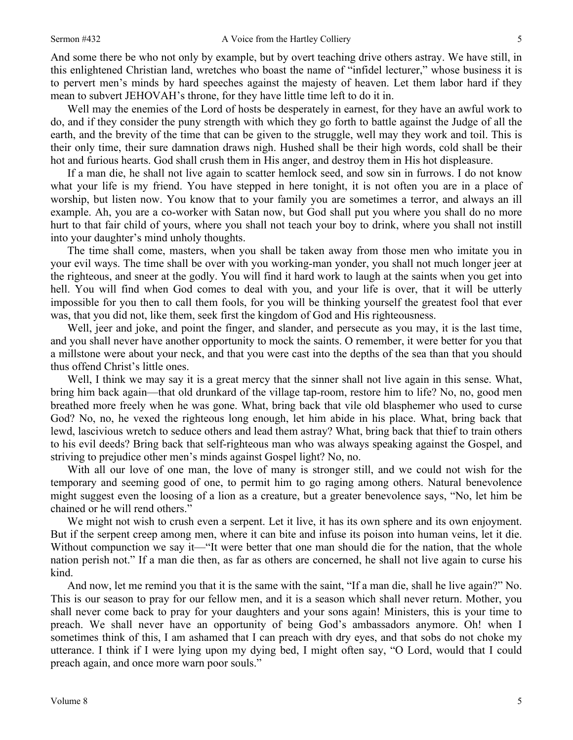And some there be who not only by example, but by overt teaching drive others astray. We have still, in this enlightened Christian land, wretches who boast the name of "infidel lecturer," whose business it is to pervert men's minds by hard speeches against the majesty of heaven. Let them labor hard if they mean to subvert JEHOVAH's throne, for they have little time left to do it in.

Well may the enemies of the Lord of hosts be desperately in earnest, for they have an awful work to do, and if they consider the puny strength with which they go forth to battle against the Judge of all the earth, and the brevity of the time that can be given to the struggle, well may they work and toil. This is their only time, their sure damnation draws nigh. Hushed shall be their high words, cold shall be their hot and furious hearts. God shall crush them in His anger, and destroy them in His hot displeasure.

If a man die, he shall not live again to scatter hemlock seed, and sow sin in furrows. I do not know what your life is my friend. You have stepped in here tonight, it is not often you are in a place of worship, but listen now. You know that to your family you are sometimes a terror, and always an ill example. Ah, you are a co-worker with Satan now, but God shall put you where you shall do no more hurt to that fair child of yours, where you shall not teach your boy to drink, where you shall not instill into your daughter's mind unholy thoughts.

The time shall come, masters, when you shall be taken away from those men who imitate you in your evil ways. The time shall be over with you working-man yonder, you shall not much longer jeer at the righteous, and sneer at the godly. You will find it hard work to laugh at the saints when you get into hell. You will find when God comes to deal with you, and your life is over, that it will be utterly impossible for you then to call them fools, for you will be thinking yourself the greatest fool that ever was, that you did not, like them, seek first the kingdom of God and His righteousness.

Well, jeer and joke, and point the finger, and slander, and persecute as you may, it is the last time, and you shall never have another opportunity to mock the saints. O remember, it were better for you that a millstone were about your neck, and that you were cast into the depths of the sea than that you should thus offend Christ's little ones.

Well, I think we may say it is a great mercy that the sinner shall not live again in this sense. What, bring him back again—that old drunkard of the village tap-room, restore him to life? No, no, good men breathed more freely when he was gone. What, bring back that vile old blasphemer who used to curse God? No, no, he vexed the righteous long enough, let him abide in his place. What, bring back that lewd, lascivious wretch to seduce others and lead them astray? What, bring back that thief to train others to his evil deeds? Bring back that self-righteous man who was always speaking against the Gospel, and striving to prejudice other men's minds against Gospel light? No, no.

With all our love of one man, the love of many is stronger still, and we could not wish for the temporary and seeming good of one, to permit him to go raging among others. Natural benevolence might suggest even the loosing of a lion as a creature, but a greater benevolence says, "No, let him be chained or he will rend others."

We might not wish to crush even a serpent. Let it live, it has its own sphere and its own enjoyment. But if the serpent creep among men, where it can bite and infuse its poison into human veins, let it die. Without compunction we say it—"It were better that one man should die for the nation, that the whole nation perish not." If a man die then, as far as others are concerned, he shall not live again to curse his kind.

And now, let me remind you that it is the same with the saint, "If a man die, shall he live again?" No. This is our season to pray for our fellow men, and it is a season which shall never return. Mother, you shall never come back to pray for your daughters and your sons again! Ministers, this is your time to preach. We shall never have an opportunity of being God's ambassadors anymore. Oh! when I sometimes think of this, I am ashamed that I can preach with dry eyes, and that sobs do not choke my utterance. I think if I were lying upon my dying bed, I might often say, "O Lord, would that I could preach again, and once more warn poor souls."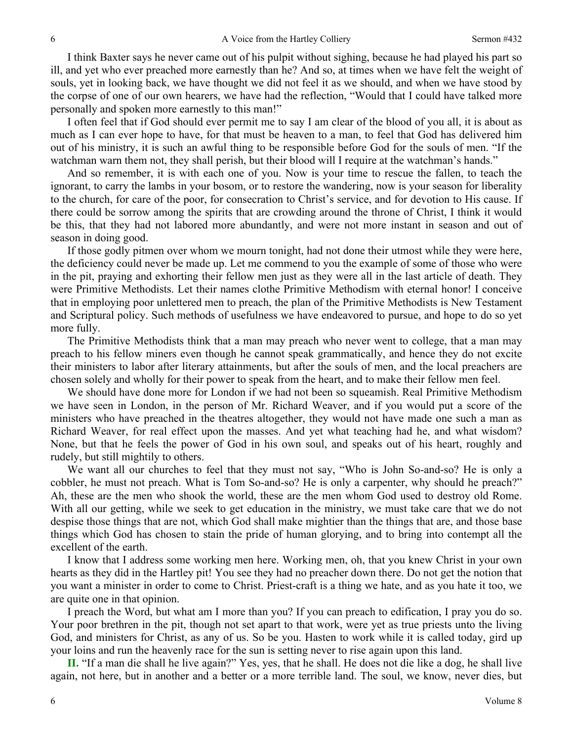I think Baxter says he never came out of his pulpit without sighing, because he had played his part so ill, and yet who ever preached more earnestly than he? And so, at times when we have felt the weight of souls, yet in looking back, we have thought we did not feel it as we should, and when we have stood by the corpse of one of our own hearers, we have had the reflection, "Would that I could have talked more personally and spoken more earnestly to this man!"

I often feel that if God should ever permit me to say I am clear of the blood of you all, it is about as much as I can ever hope to have, for that must be heaven to a man, to feel that God has delivered him out of his ministry, it is such an awful thing to be responsible before God for the souls of men. "If the watchman warn them not, they shall perish, but their blood will I require at the watchman's hands."

And so remember, it is with each one of you. Now is your time to rescue the fallen, to teach the ignorant, to carry the lambs in your bosom, or to restore the wandering, now is your season for liberality to the church, for care of the poor, for consecration to Christ's service, and for devotion to His cause. If there could be sorrow among the spirits that are crowding around the throne of Christ, I think it would be this, that they had not labored more abundantly, and were not more instant in season and out of season in doing good.

If those godly pitmen over whom we mourn tonight, had not done their utmost while they were here, the deficiency could never be made up. Let me commend to you the example of some of those who were in the pit, praying and exhorting their fellow men just as they were all in the last article of death. They were Primitive Methodists. Let their names clothe Primitive Methodism with eternal honor! I conceive that in employing poor unlettered men to preach, the plan of the Primitive Methodists is New Testament and Scriptural policy. Such methods of usefulness we have endeavored to pursue, and hope to do so yet more fully.

The Primitive Methodists think that a man may preach who never went to college, that a man may preach to his fellow miners even though he cannot speak grammatically, and hence they do not excite their ministers to labor after literary attainments, but after the souls of men, and the local preachers are chosen solely and wholly for their power to speak from the heart, and to make their fellow men feel.

We should have done more for London if we had not been so squeamish. Real Primitive Methodism we have seen in London, in the person of Mr. Richard Weaver, and if you would put a score of the ministers who have preached in the theatres altogether, they would not have made one such a man as Richard Weaver, for real effect upon the masses. And yet what teaching had he, and what wisdom? None, but that he feels the power of God in his own soul, and speaks out of his heart, roughly and rudely, but still mightily to others.

We want all our churches to feel that they must not say, "Who is John So-and-so? He is only a cobbler, he must not preach. What is Tom So-and-so? He is only a carpenter, why should he preach?" Ah, these are the men who shook the world, these are the men whom God used to destroy old Rome. With all our getting, while we seek to get education in the ministry, we must take care that we do not despise those things that are not, which God shall make mightier than the things that are, and those base things which God has chosen to stain the pride of human glorying, and to bring into contempt all the excellent of the earth.

I know that I address some working men here. Working men, oh, that you knew Christ in your own hearts as they did in the Hartley pit! You see they had no preacher down there. Do not get the notion that you want a minister in order to come to Christ. Priest-craft is a thing we hate, and as you hate it too, we are quite one in that opinion.

I preach the Word, but what am I more than you? If you can preach to edification, I pray you do so. Your poor brethren in the pit, though not set apart to that work, were yet as true priests unto the living God, and ministers for Christ, as any of us. So be you. Hasten to work while it is called today, gird up your loins and run the heavenly race for the sun is setting never to rise again upon this land.

**II.** "If a man die shall he live again?" Yes, yes, that he shall. He does not die like a dog, he shall live again, not here, but in another and a better or a more terrible land. The soul, we know, never dies, but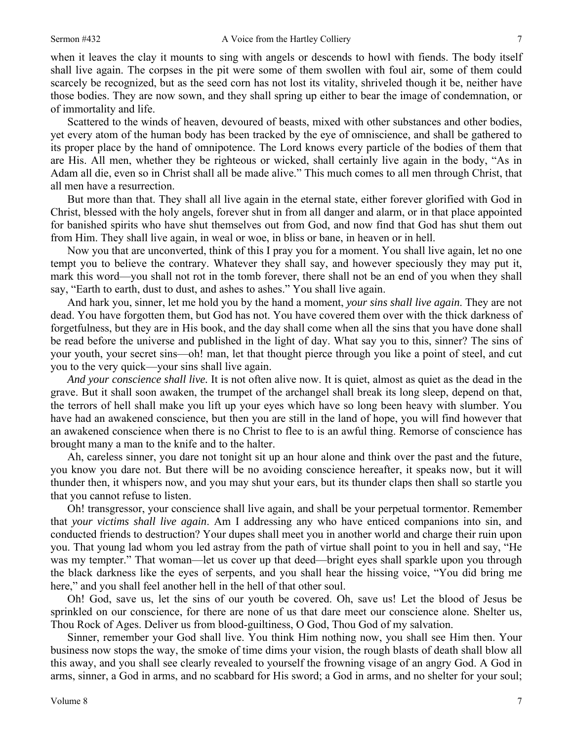when it leaves the clay it mounts to sing with angels or descends to howl with fiends. The body itself shall live again. The corpses in the pit were some of them swollen with foul air, some of them could scarcely be recognized, but as the seed corn has not lost its vitality, shriveled though it be, neither have those bodies. They are now sown, and they shall spring up either to bear the image of condemnation, or of immortality and life.

Scattered to the winds of heaven, devoured of beasts, mixed with other substances and other bodies, yet every atom of the human body has been tracked by the eye of omniscience, and shall be gathered to its proper place by the hand of omnipotence. The Lord knows every particle of the bodies of them that are His. All men, whether they be righteous or wicked, shall certainly live again in the body, "As in Adam all die, even so in Christ shall all be made alive." This much comes to all men through Christ, that all men have a resurrection.

But more than that. They shall all live again in the eternal state, either forever glorified with God in Christ, blessed with the holy angels, forever shut in from all danger and alarm, or in that place appointed for banished spirits who have shut themselves out from God, and now find that God has shut them out from Him. They shall live again, in weal or woe, in bliss or bane, in heaven or in hell.

Now you that are unconverted, think of this I pray you for a moment. You shall live again, let no one tempt you to believe the contrary. Whatever they shall say, and however speciously they may put it, mark this word—you shall not rot in the tomb forever, there shall not be an end of you when they shall say, "Earth to earth, dust to dust, and ashes to ashes." You shall live again.

And hark you, sinner, let me hold you by the hand a moment, *your sins shall live again*. They are not dead. You have forgotten them, but God has not. You have covered them over with the thick darkness of forgetfulness, but they are in His book, and the day shall come when all the sins that you have done shall be read before the universe and published in the light of day. What say you to this, sinner? The sins of your youth, your secret sins—oh! man, let that thought pierce through you like a point of steel, and cut you to the very quick—your sins shall live again.

*And your conscience shall live.* It is not often alive now. It is quiet, almost as quiet as the dead in the grave. But it shall soon awaken, the trumpet of the archangel shall break its long sleep, depend on that, the terrors of hell shall make you lift up your eyes which have so long been heavy with slumber. You have had an awakened conscience, but then you are still in the land of hope, you will find however that an awakened conscience when there is no Christ to flee to is an awful thing. Remorse of conscience has brought many a man to the knife and to the halter.

Ah, careless sinner, you dare not tonight sit up an hour alone and think over the past and the future, you know you dare not. But there will be no avoiding conscience hereafter, it speaks now, but it will thunder then, it whispers now, and you may shut your ears, but its thunder claps then shall so startle you that you cannot refuse to listen.

Oh! transgressor, your conscience shall live again, and shall be your perpetual tormentor. Remember that *your victims shall live again*. Am I addressing any who have enticed companions into sin, and conducted friends to destruction? Your dupes shall meet you in another world and charge their ruin upon you. That young lad whom you led astray from the path of virtue shall point to you in hell and say, "He was my tempter." That woman—let us cover up that deed—bright eyes shall sparkle upon you through the black darkness like the eyes of serpents, and you shall hear the hissing voice, "You did bring me here," and you shall feel another hell in the hell of that other soul.

Oh! God, save us, let the sins of our youth be covered. Oh, save us! Let the blood of Jesus be sprinkled on our conscience, for there are none of us that dare meet our conscience alone. Shelter us, Thou Rock of Ages. Deliver us from blood-guiltiness, O God, Thou God of my salvation.

Sinner, remember your God shall live. You think Him nothing now, you shall see Him then. Your business now stops the way, the smoke of time dims your vision, the rough blasts of death shall blow all this away, and you shall see clearly revealed to yourself the frowning visage of an angry God. A God in arms, sinner, a God in arms, and no scabbard for His sword; a God in arms, and no shelter for your soul;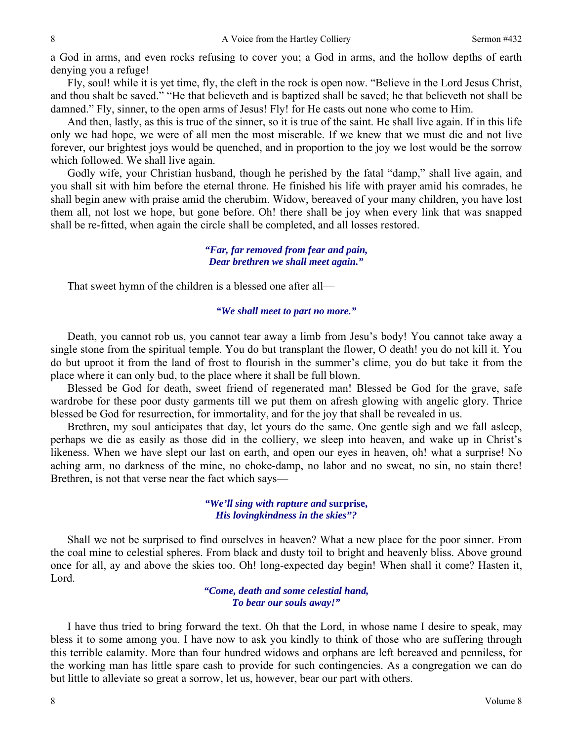a God in arms, and even rocks refusing to cover you; a God in arms, and the hollow depths of earth denying you a refuge!

Fly, soul! while it is yet time, fly, the cleft in the rock is open now. "Believe in the Lord Jesus Christ, and thou shalt be saved." "He that believeth and is baptized shall be saved; he that believeth not shall be damned." Fly, sinner, to the open arms of Jesus! Fly! for He casts out none who come to Him.

And then, lastly, as this is true of the sinner, so it is true of the saint. He shall live again. If in this life only we had hope, we were of all men the most miserable. If we knew that we must die and not live forever, our brightest joys would be quenched, and in proportion to the joy we lost would be the sorrow which followed. We shall live again.

Godly wife, your Christian husband, though he perished by the fatal "damp," shall live again, and you shall sit with him before the eternal throne. He finished his life with prayer amid his comrades, he shall begin anew with praise amid the cherubim. Widow, bereaved of your many children, you have lost them all, not lost we hope, but gone before. Oh! there shall be joy when every link that was snapped shall be re-fitted, when again the circle shall be completed, and all losses restored.

> *"Far, far removed from fear and pain, Dear brethren we shall meet again."*

That sweet hymn of the children is a blessed one after all—

#### *"We shall meet to part no more."*

Death, you cannot rob us, you cannot tear away a limb from Jesu's body! You cannot take away a single stone from the spiritual temple. You do but transplant the flower, O death! you do not kill it. You do but uproot it from the land of frost to flourish in the summer's clime, you do but take it from the place where it can only bud, to the place where it shall be full blown.

Blessed be God for death, sweet friend of regenerated man! Blessed be God for the grave, safe wardrobe for these poor dusty garments till we put them on afresh glowing with angelic glory. Thrice blessed be God for resurrection, for immortality, and for the joy that shall be revealed in us.

Brethren, my soul anticipates that day, let yours do the same. One gentle sigh and we fall asleep, perhaps we die as easily as those did in the colliery, we sleep into heaven, and wake up in Christ's likeness. When we have slept our last on earth, and open our eyes in heaven, oh! what a surprise! No aching arm, no darkness of the mine, no choke-damp, no labor and no sweat, no sin, no stain there! Brethren, is not that verse near the fact which says—

> *"We'll sing with rapture and* **surprise,**  *His lovingkindness in the skies"?*

Shall we not be surprised to find ourselves in heaven? What a new place for the poor sinner. From the coal mine to celestial spheres. From black and dusty toil to bright and heavenly bliss. Above ground once for all, ay and above the skies too. Oh! long-expected day begin! When shall it come? Hasten it, Lord.

> *"Come, death and some celestial hand, To bear our souls away!"*

I have thus tried to bring forward the text. Oh that the Lord, in whose name I desire to speak, may bless it to some among you. I have now to ask you kindly to think of those who are suffering through this terrible calamity. More than four hundred widows and orphans are left bereaved and penniless, for the working man has little spare cash to provide for such contingencies. As a congregation we can do but little to alleviate so great a sorrow, let us, however, bear our part with others.